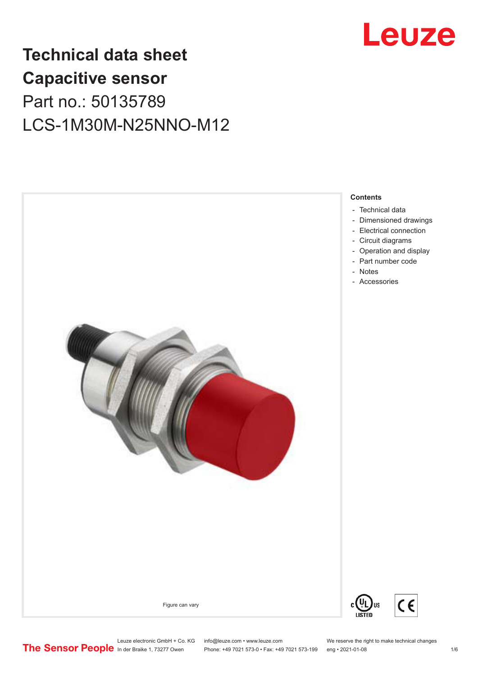# Leuze

## **Technical data sheet Capacitive sensor** Part no.: 50135789 LCS-1M30M-N25NNO-M12



Leuze electronic GmbH + Co. KG info@leuze.com • www.leuze.com We reserve the right to make technical changes<br> **The Sensor People** in der Braike 1, 73277 Owen Phone: +49 7021 573-0 • Fax: +49 7021 573-199 eng • 2021-01-08

Phone: +49 7021 573-0 • Fax: +49 7021 573-199 eng • 2021-01-08 1/6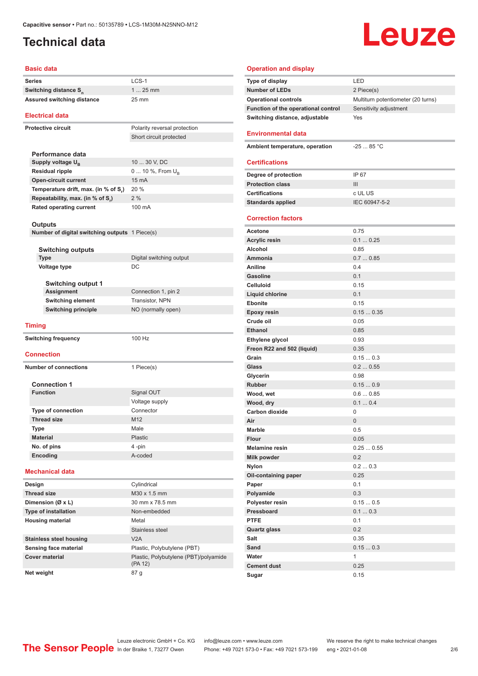#### <span id="page-1-0"></span>**Technical data**

# Leuze

#### **Basic data**

| LCS-1<br>Series<br>$125$ mm<br>Switching distance S <sub>n</sub><br><b>Assured switching distance</b><br>25 mm<br><b>Electrical data</b><br><b>Protective circuit</b><br>Polarity reversal protection<br>Short circuit protected<br>Performance data<br>10  30 V, DC<br>Supply voltage $U_{B}$<br><b>Residual ripple</b><br>0  10 %, From U <sub>p</sub><br>15 mA<br><b>Open-circuit current</b><br>20 %<br>Temperature drift, max. (in % of S.)<br>Repeatability, max. (in % of S,)<br>2%<br><b>Rated operating current</b><br>100 mA<br>Outputs<br>Number of digital switching outputs 1 Piece(s)<br><b>Switching outputs</b><br><b>Type</b><br>Digital switching output<br>DC<br>Voltage type<br><b>Switching output 1</b><br>Assignment<br>Connection 1, pin 2<br>Transistor, NPN<br><b>Switching element</b><br><b>Switching principle</b><br>NO (normally open)<br><b>Timing</b><br>100 Hz<br><b>Switching frequency</b><br><b>Connection</b><br><b>Number of connections</b><br>1 Piece(s)<br><b>Connection 1</b><br><b>Function</b><br>Signal OUT<br>Voltage supply<br><b>Type of connection</b><br>Connector<br><b>Thread size</b><br>M12<br>Male<br>Type<br><b>Material</b><br>Plastic<br>No. of pins<br>4 -pin<br>Encoding<br>A-coded<br><b>Mechanical data</b><br>Cylindrical<br>Design |
|-----------------------------------------------------------------------------------------------------------------------------------------------------------------------------------------------------------------------------------------------------------------------------------------------------------------------------------------------------------------------------------------------------------------------------------------------------------------------------------------------------------------------------------------------------------------------------------------------------------------------------------------------------------------------------------------------------------------------------------------------------------------------------------------------------------------------------------------------------------------------------------------------------------------------------------------------------------------------------------------------------------------------------------------------------------------------------------------------------------------------------------------------------------------------------------------------------------------------------------------------------------------------------------------------------|
|                                                                                                                                                                                                                                                                                                                                                                                                                                                                                                                                                                                                                                                                                                                                                                                                                                                                                                                                                                                                                                                                                                                                                                                                                                                                                                     |
|                                                                                                                                                                                                                                                                                                                                                                                                                                                                                                                                                                                                                                                                                                                                                                                                                                                                                                                                                                                                                                                                                                                                                                                                                                                                                                     |
|                                                                                                                                                                                                                                                                                                                                                                                                                                                                                                                                                                                                                                                                                                                                                                                                                                                                                                                                                                                                                                                                                                                                                                                                                                                                                                     |
|                                                                                                                                                                                                                                                                                                                                                                                                                                                                                                                                                                                                                                                                                                                                                                                                                                                                                                                                                                                                                                                                                                                                                                                                                                                                                                     |
|                                                                                                                                                                                                                                                                                                                                                                                                                                                                                                                                                                                                                                                                                                                                                                                                                                                                                                                                                                                                                                                                                                                                                                                                                                                                                                     |
|                                                                                                                                                                                                                                                                                                                                                                                                                                                                                                                                                                                                                                                                                                                                                                                                                                                                                                                                                                                                                                                                                                                                                                                                                                                                                                     |
|                                                                                                                                                                                                                                                                                                                                                                                                                                                                                                                                                                                                                                                                                                                                                                                                                                                                                                                                                                                                                                                                                                                                                                                                                                                                                                     |
|                                                                                                                                                                                                                                                                                                                                                                                                                                                                                                                                                                                                                                                                                                                                                                                                                                                                                                                                                                                                                                                                                                                                                                                                                                                                                                     |
|                                                                                                                                                                                                                                                                                                                                                                                                                                                                                                                                                                                                                                                                                                                                                                                                                                                                                                                                                                                                                                                                                                                                                                                                                                                                                                     |
|                                                                                                                                                                                                                                                                                                                                                                                                                                                                                                                                                                                                                                                                                                                                                                                                                                                                                                                                                                                                                                                                                                                                                                                                                                                                                                     |
|                                                                                                                                                                                                                                                                                                                                                                                                                                                                                                                                                                                                                                                                                                                                                                                                                                                                                                                                                                                                                                                                                                                                                                                                                                                                                                     |
|                                                                                                                                                                                                                                                                                                                                                                                                                                                                                                                                                                                                                                                                                                                                                                                                                                                                                                                                                                                                                                                                                                                                                                                                                                                                                                     |
|                                                                                                                                                                                                                                                                                                                                                                                                                                                                                                                                                                                                                                                                                                                                                                                                                                                                                                                                                                                                                                                                                                                                                                                                                                                                                                     |
|                                                                                                                                                                                                                                                                                                                                                                                                                                                                                                                                                                                                                                                                                                                                                                                                                                                                                                                                                                                                                                                                                                                                                                                                                                                                                                     |
|                                                                                                                                                                                                                                                                                                                                                                                                                                                                                                                                                                                                                                                                                                                                                                                                                                                                                                                                                                                                                                                                                                                                                                                                                                                                                                     |
|                                                                                                                                                                                                                                                                                                                                                                                                                                                                                                                                                                                                                                                                                                                                                                                                                                                                                                                                                                                                                                                                                                                                                                                                                                                                                                     |
|                                                                                                                                                                                                                                                                                                                                                                                                                                                                                                                                                                                                                                                                                                                                                                                                                                                                                                                                                                                                                                                                                                                                                                                                                                                                                                     |
|                                                                                                                                                                                                                                                                                                                                                                                                                                                                                                                                                                                                                                                                                                                                                                                                                                                                                                                                                                                                                                                                                                                                                                                                                                                                                                     |
|                                                                                                                                                                                                                                                                                                                                                                                                                                                                                                                                                                                                                                                                                                                                                                                                                                                                                                                                                                                                                                                                                                                                                                                                                                                                                                     |
|                                                                                                                                                                                                                                                                                                                                                                                                                                                                                                                                                                                                                                                                                                                                                                                                                                                                                                                                                                                                                                                                                                                                                                                                                                                                                                     |
|                                                                                                                                                                                                                                                                                                                                                                                                                                                                                                                                                                                                                                                                                                                                                                                                                                                                                                                                                                                                                                                                                                                                                                                                                                                                                                     |
|                                                                                                                                                                                                                                                                                                                                                                                                                                                                                                                                                                                                                                                                                                                                                                                                                                                                                                                                                                                                                                                                                                                                                                                                                                                                                                     |
|                                                                                                                                                                                                                                                                                                                                                                                                                                                                                                                                                                                                                                                                                                                                                                                                                                                                                                                                                                                                                                                                                                                                                                                                                                                                                                     |
|                                                                                                                                                                                                                                                                                                                                                                                                                                                                                                                                                                                                                                                                                                                                                                                                                                                                                                                                                                                                                                                                                                                                                                                                                                                                                                     |
|                                                                                                                                                                                                                                                                                                                                                                                                                                                                                                                                                                                                                                                                                                                                                                                                                                                                                                                                                                                                                                                                                                                                                                                                                                                                                                     |
|                                                                                                                                                                                                                                                                                                                                                                                                                                                                                                                                                                                                                                                                                                                                                                                                                                                                                                                                                                                                                                                                                                                                                                                                                                                                                                     |
|                                                                                                                                                                                                                                                                                                                                                                                                                                                                                                                                                                                                                                                                                                                                                                                                                                                                                                                                                                                                                                                                                                                                                                                                                                                                                                     |
|                                                                                                                                                                                                                                                                                                                                                                                                                                                                                                                                                                                                                                                                                                                                                                                                                                                                                                                                                                                                                                                                                                                                                                                                                                                                                                     |
|                                                                                                                                                                                                                                                                                                                                                                                                                                                                                                                                                                                                                                                                                                                                                                                                                                                                                                                                                                                                                                                                                                                                                                                                                                                                                                     |
|                                                                                                                                                                                                                                                                                                                                                                                                                                                                                                                                                                                                                                                                                                                                                                                                                                                                                                                                                                                                                                                                                                                                                                                                                                                                                                     |
|                                                                                                                                                                                                                                                                                                                                                                                                                                                                                                                                                                                                                                                                                                                                                                                                                                                                                                                                                                                                                                                                                                                                                                                                                                                                                                     |
|                                                                                                                                                                                                                                                                                                                                                                                                                                                                                                                                                                                                                                                                                                                                                                                                                                                                                                                                                                                                                                                                                                                                                                                                                                                                                                     |
|                                                                                                                                                                                                                                                                                                                                                                                                                                                                                                                                                                                                                                                                                                                                                                                                                                                                                                                                                                                                                                                                                                                                                                                                                                                                                                     |
|                                                                                                                                                                                                                                                                                                                                                                                                                                                                                                                                                                                                                                                                                                                                                                                                                                                                                                                                                                                                                                                                                                                                                                                                                                                                                                     |
|                                                                                                                                                                                                                                                                                                                                                                                                                                                                                                                                                                                                                                                                                                                                                                                                                                                                                                                                                                                                                                                                                                                                                                                                                                                                                                     |
|                                                                                                                                                                                                                                                                                                                                                                                                                                                                                                                                                                                                                                                                                                                                                                                                                                                                                                                                                                                                                                                                                                                                                                                                                                                                                                     |
|                                                                                                                                                                                                                                                                                                                                                                                                                                                                                                                                                                                                                                                                                                                                                                                                                                                                                                                                                                                                                                                                                                                                                                                                                                                                                                     |
|                                                                                                                                                                                                                                                                                                                                                                                                                                                                                                                                                                                                                                                                                                                                                                                                                                                                                                                                                                                                                                                                                                                                                                                                                                                                                                     |
|                                                                                                                                                                                                                                                                                                                                                                                                                                                                                                                                                                                                                                                                                                                                                                                                                                                                                                                                                                                                                                                                                                                                                                                                                                                                                                     |
|                                                                                                                                                                                                                                                                                                                                                                                                                                                                                                                                                                                                                                                                                                                                                                                                                                                                                                                                                                                                                                                                                                                                                                                                                                                                                                     |
|                                                                                                                                                                                                                                                                                                                                                                                                                                                                                                                                                                                                                                                                                                                                                                                                                                                                                                                                                                                                                                                                                                                                                                                                                                                                                                     |
|                                                                                                                                                                                                                                                                                                                                                                                                                                                                                                                                                                                                                                                                                                                                                                                                                                                                                                                                                                                                                                                                                                                                                                                                                                                                                                     |
|                                                                                                                                                                                                                                                                                                                                                                                                                                                                                                                                                                                                                                                                                                                                                                                                                                                                                                                                                                                                                                                                                                                                                                                                                                                                                                     |
|                                                                                                                                                                                                                                                                                                                                                                                                                                                                                                                                                                                                                                                                                                                                                                                                                                                                                                                                                                                                                                                                                                                                                                                                                                                                                                     |
| M30 x 1.5 mm<br><b>Thread size</b>                                                                                                                                                                                                                                                                                                                                                                                                                                                                                                                                                                                                                                                                                                                                                                                                                                                                                                                                                                                                                                                                                                                                                                                                                                                                  |
| Dimension (Ø x L)<br>30 mm x 78.5 mm                                                                                                                                                                                                                                                                                                                                                                                                                                                                                                                                                                                                                                                                                                                                                                                                                                                                                                                                                                                                                                                                                                                                                                                                                                                                |
| Non-embedded                                                                                                                                                                                                                                                                                                                                                                                                                                                                                                                                                                                                                                                                                                                                                                                                                                                                                                                                                                                                                                                                                                                                                                                                                                                                                        |
| <b>Type of installation</b>                                                                                                                                                                                                                                                                                                                                                                                                                                                                                                                                                                                                                                                                                                                                                                                                                                                                                                                                                                                                                                                                                                                                                                                                                                                                         |
| <b>Housing material</b><br>Metal                                                                                                                                                                                                                                                                                                                                                                                                                                                                                                                                                                                                                                                                                                                                                                                                                                                                                                                                                                                                                                                                                                                                                                                                                                                                    |
| Stainless steel                                                                                                                                                                                                                                                                                                                                                                                                                                                                                                                                                                                                                                                                                                                                                                                                                                                                                                                                                                                                                                                                                                                                                                                                                                                                                     |
| V <sub>2</sub> A<br><b>Stainless steel housing</b>                                                                                                                                                                                                                                                                                                                                                                                                                                                                                                                                                                                                                                                                                                                                                                                                                                                                                                                                                                                                                                                                                                                                                                                                                                                  |
| Sensing face material<br>Plastic, Polybutylene (PBT)                                                                                                                                                                                                                                                                                                                                                                                                                                                                                                                                                                                                                                                                                                                                                                                                                                                                                                                                                                                                                                                                                                                                                                                                                                                |

| <b>Operation and display</b>                    |                                    |
|-------------------------------------------------|------------------------------------|
| Type of display                                 | LED                                |
| <b>Number of LEDs</b>                           | 2 Piece(s)                         |
| <b>Operational controls</b>                     | Multiturn potentiometer (20 turns) |
| Function of the operational control             | Sensitivity adjustment             |
| Switching distance, adjustable                  | Yes                                |
| <b>Environmental data</b>                       |                                    |
| Ambient temperature, operation                  | $-2585 °C$                         |
| <b>Certifications</b>                           |                                    |
|                                                 | IP 67                              |
| Degree of protection<br><b>Protection class</b> | III                                |
| <b>Certifications</b>                           | c UL US                            |
| <b>Standards applied</b>                        | IEC 60947-5-2                      |
|                                                 |                                    |
| <b>Correction factors</b>                       |                                    |
| <b>Acetone</b>                                  | 0.75                               |
| <b>Acrylic resin</b>                            | 0.10.25                            |
| <b>Alcohol</b>                                  | 0.85                               |
| Ammonia                                         | 0.70.85                            |
| <b>Aniline</b>                                  | 0.4                                |
| <b>Gasoline</b>                                 | 0.1                                |
| <b>Celluloid</b>                                | 0.15                               |
| <b>Liquid chlorine</b>                          | 0.1                                |
| <b>Ebonite</b>                                  | 0.15                               |
| <b>Epoxy resin</b>                              | 0.150.35                           |
| Crude oil                                       | 0.05                               |
| <b>Ethanol</b>                                  | 0.85                               |
| Ethylene glycol                                 | 0.93                               |
| Freon R22 and 502 (liquid)                      | 0.35                               |
| Grain                                           | 0.150.3                            |
| Glass                                           | 0.20.55                            |
| Glycerin                                        | 0.98                               |
| <b>Rubber</b>                                   | 0.150.9                            |
| Wood, wet                                       | 0.60.85                            |
| Wood, dry                                       | 0.10.4                             |
| <b>Carbon dioxide</b>                           | 0                                  |
| Air                                             | $\mathbf{0}$                       |
| Marble                                          | 0.5                                |
| <b>Flour</b>                                    | 0.05                               |
| <b>Melamine resin</b>                           | 0.250.55                           |
| Milk powder                                     | 0.2                                |
| Nylon                                           | 0.20.3                             |
| Oil-containing paper                            | 0.25                               |
| Paper                                           | 0.1                                |
| Polyamide                                       | 0.3                                |
| Polyester resin                                 | 0.150.5                            |
| Pressboard                                      | 0.10.3                             |
| <b>PTFE</b>                                     | 0.1                                |
| <b>Quartz glass</b>                             | 0.2                                |
| Salt                                            | 0.35                               |
| Sand                                            | 0.150.3                            |
| Water                                           | 1                                  |
| <b>Cement dust</b>                              | 0.25                               |
| Sugar                                           | 0.15                               |

Leuze electronic GmbH + Co. KG info@leuze.com • www.leuze.com We reserve the right to make technical changes ln der Braike 1, 73277 Owen Phone: +49 7021 573-0 • Fax: +49 7021 573-199 eng • 2021-01-08 2/6

(PA 12)

**Net weight** 87 g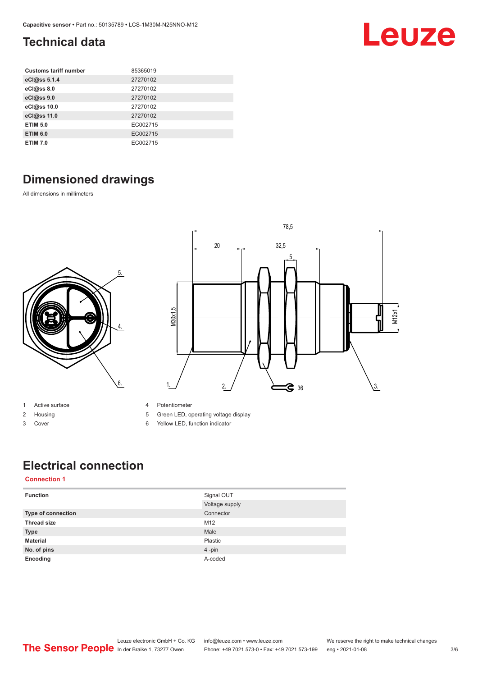### <span id="page-2-0"></span>**Technical data**

| <b>Customs tariff number</b> | 85365019 |
|------------------------------|----------|
| eCl@ss 5.1.4                 | 27270102 |
| eCl@ss 8.0                   | 27270102 |
| eCl@ss 9.0                   | 27270102 |
| eCl@ss 10.0                  | 27270102 |
| eCl@ss 11.0                  | 27270102 |
| <b>ETIM 5.0</b>              | EC002715 |
| <b>ETIM 6.0</b>              | EC002715 |
| <b>ETIM 7.0</b>              | EC002715 |

### **Dimensioned drawings**

All dimensions in millimeters





- 1 Active surface
- 2 Housing
- 3 Cover
- 4 Potentiometer
- 5 Green LED, operating voltage display
- 6 Yellow LED, function indicator

### **Electrical connection**

#### **Connection 1**

| <b>Function</b>    | Signal OUT     |
|--------------------|----------------|
|                    | Voltage supply |
| Type of connection | Connector      |
| <b>Thread size</b> | M12            |
| <b>Type</b>        | Male           |
| <b>Material</b>    | Plastic        |
| No. of pins        | 4-pin          |
| Encoding           | A-coded        |

Leuze electronic GmbH + Co. KG info@leuze.com • www.leuze.com We reserve the right to make technical changes<br>
The Sensor People in der Braike 1, 73277 Owen Phone: +49 7021 573-0 • Fax: +49 7021 573-199 eng • 2021-01-08 Phone: +49 7021 573-0 • Fax: +49 7021 573-199 eng • 2021-01-08 3/6

Leuze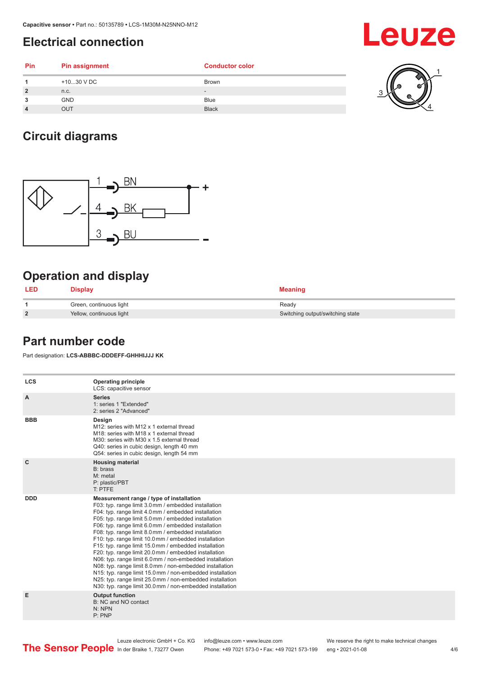#### <span id="page-3-0"></span>**Electrical connection**

|            | =וסטווווטטו ווטטווווטט |                          |   |
|------------|------------------------|--------------------------|---|
| <b>Pin</b> | <b>Pin assignment</b>  | <b>Conductor color</b>   |   |
|            | +1030 V DC             | <b>Brown</b>             | ø |
|            | n.c.                   | $\overline{\phantom{0}}$ |   |
|            | <b>GND</b>             | <b>Blue</b>              |   |

#### **Circuit diagrams**



**4** OUT Black

#### **Operation and display**

| <b>LED</b>     | Display                  | <b>Meaning</b>                   |
|----------------|--------------------------|----------------------------------|
|                | Green, continuous light  | Ready                            |
| $\overline{2}$ | Yellow, continuous light | Switching output/switching state |

#### **Part number code**

Part designation: **LCS-ABBBC-DDDEFF-GHHHIJJJ KK**

| <b>LCS</b>   | <b>Operating principle</b><br>LCS: capacitive sensor                                                                                                                                                                                                                                                                                                                                                                                                                                                                                                                                                                                                                                                                                                                                                                       |
|--------------|----------------------------------------------------------------------------------------------------------------------------------------------------------------------------------------------------------------------------------------------------------------------------------------------------------------------------------------------------------------------------------------------------------------------------------------------------------------------------------------------------------------------------------------------------------------------------------------------------------------------------------------------------------------------------------------------------------------------------------------------------------------------------------------------------------------------------|
| A            | <b>Series</b><br>1: series 1 "Extended"<br>2: series 2 "Advanced"                                                                                                                                                                                                                                                                                                                                                                                                                                                                                                                                                                                                                                                                                                                                                          |
| <b>BBB</b>   | Design<br>M12: series with M12 x 1 external thread<br>M18: series with M18 x 1 external thread<br>M30: series with M30 x 1.5 external thread<br>Q40: series in cubic design, length 40 mm<br>Q54: series in cubic design, length 54 mm                                                                                                                                                                                                                                                                                                                                                                                                                                                                                                                                                                                     |
| $\mathbf{C}$ | <b>Housing material</b><br>B: brass<br>M: metal<br>P: plastic/PBT<br>T: PTFE                                                                                                                                                                                                                                                                                                                                                                                                                                                                                                                                                                                                                                                                                                                                               |
| <b>DDD</b>   | Measurement range / type of installation<br>F03: typ. range limit 3.0 mm / embedded installation<br>F04: typ. range limit 4.0 mm / embedded installation<br>F05: typ. range limit 5.0 mm / embedded installation<br>F06: typ. range limit 6.0 mm / embedded installation<br>F08: typ. range limit 8.0 mm / embedded installation<br>F10: typ. range limit 10.0 mm / embedded installation<br>F15: typ. range limit 15.0 mm / embedded installation<br>F20: typ. range limit 20.0 mm / embedded installation<br>N06: typ. range limit 6.0 mm / non-embedded installation<br>N08: typ. range limit 8.0 mm / non-embedded installation<br>N15: typ. range limit 15.0 mm / non-embedded installation<br>N25: typ. range limit 25.0 mm / non-embedded installation<br>N30: typ. range limit 30.0 mm / non-embedded installation |
| Е            | <b>Output function</b><br>B: NC and NO contact<br>N: NPN<br>P:PNP                                                                                                                                                                                                                                                                                                                                                                                                                                                                                                                                                                                                                                                                                                                                                          |

## Leuze

 $\mathbb{K}_4$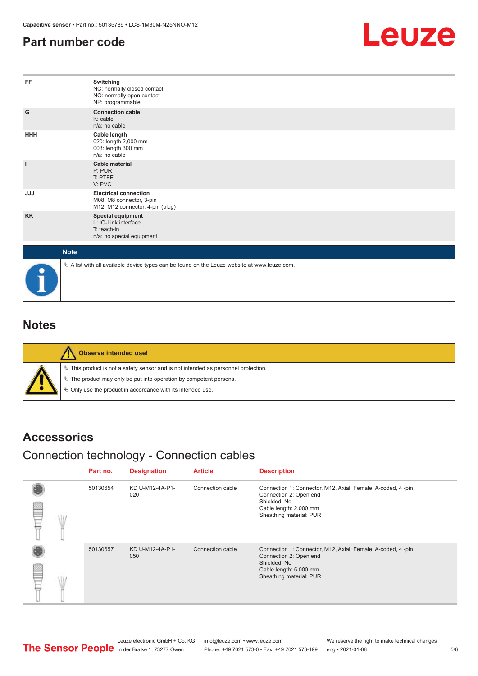#### <span id="page-4-0"></span>**Part number code**



| FF           | Switching<br>NC: normally closed contact<br>NO: normally open contact<br>NP: programmable    |
|--------------|----------------------------------------------------------------------------------------------|
| G            | <b>Connection cable</b><br>K: cable<br>n/a: no cable                                         |
| <b>HHH</b>   | Cable length<br>020: length 2,000 mm<br>003: length 300 mm<br>n/a: no cable                  |
| $\mathbf{I}$ | <b>Cable material</b><br>P: PUR<br>T: PTFE<br>V: PVC                                         |
| <b>JJJ</b>   | <b>Electrical connection</b><br>M08: M8 connector, 3-pin<br>M12: M12 connector, 4-pin (plug) |
| <b>KK</b>    | <b>Special equipment</b><br>L: IO-Link interface<br>T: teach-in<br>n/a: no special equipment |
| <b>Note</b>  |                                                                                              |
|              | A list with all available device types can be found on the Leuze website at www.leuze.com.   |

#### **Notes**

| Observe intended use!                                                                                                                                                                                                            |
|----------------------------------------------------------------------------------------------------------------------------------------------------------------------------------------------------------------------------------|
| $\%$ This product is not a safety sensor and is not intended as personnel protection.<br>$\%$ The product may only be put into operation by competent persons.<br>$\%$ Only use the product in accordance with its intended use. |

#### **Accessories**

### Connection technology - Connection cables

|  | Part no. | <b>Designation</b>     | <b>Article</b>   | <b>Description</b>                                                                                                                                         |
|--|----------|------------------------|------------------|------------------------------------------------------------------------------------------------------------------------------------------------------------|
|  | 50130654 | KD U-M12-4A-P1-<br>020 | Connection cable | Connection 1: Connector, M12, Axial, Female, A-coded, 4-pin<br>Connection 2: Open end<br>Shielded: No<br>Cable length: 2,000 mm<br>Sheathing material: PUR |
|  | 50130657 | KD U-M12-4A-P1-<br>050 | Connection cable | Connection 1: Connector, M12, Axial, Female, A-coded, 4-pin<br>Connection 2: Open end<br>Shielded: No<br>Cable length: 5,000 mm<br>Sheathing material: PUR |